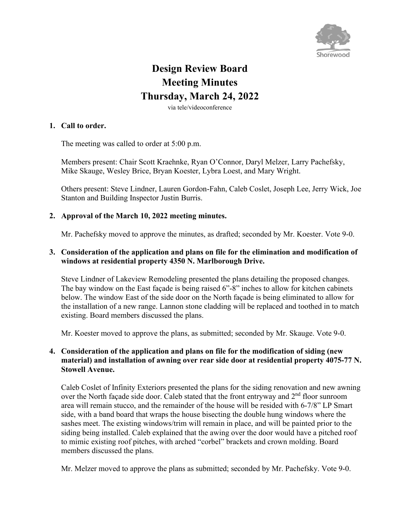

# **Design Review Board Meeting Minutes Thursday, March 24, 2022**

via tele/videoconference

#### **1. Call to order.**

The meeting was called to order at 5:00 p.m.

Members present: Chair Scott Kraehnke, Ryan O'Connor, Daryl Melzer, Larry Pachefsky, Mike Skauge, Wesley Brice, Bryan Koester, Lybra Loest, and Mary Wright.

Others present: Steve Lindner, Lauren Gordon-Fahn, Caleb Coslet, Joseph Lee, Jerry Wick, Joe Stanton and Building Inspector Justin Burris.

#### **2. Approval of the March 10, 2022 meeting minutes.**

Mr. Pachefsky moved to approve the minutes, as drafted; seconded by Mr. Koester. Vote 9-0.

#### **3. Consideration of the application and plans on file for the elimination and modification of windows at residential property 4350 N. Marlborough Drive.**

Steve Lindner of Lakeview Remodeling presented the plans detailing the proposed changes. The bay window on the East façade is being raised 6"-8" inches to allow for kitchen cabinets below. The window East of the side door on the North façade is being eliminated to allow for the installation of a new range. Lannon stone cladding will be replaced and toothed in to match existing. Board members discussed the plans.

Mr. Koester moved to approve the plans, as submitted; seconded by Mr. Skauge. Vote 9-0.

## **4. Consideration of the application and plans on file for the modification of siding (new material) and installation of awning over rear side door at residential property 4075-77 N. Stowell Avenue.**

Caleb Coslet of Infinity Exteriors presented the plans for the siding renovation and new awning over the North façade side door. Caleb stated that the front entryway and 2<sup>nd</sup> floor sunroom area will remain stucco, and the remainder of the house will be resided with 6-7/8" LP Smart side, with a band board that wraps the house bisecting the double hung windows where the sashes meet. The existing windows/trim will remain in place, and will be painted prior to the siding being installed. Caleb explained that the awing over the door would have a pitched roof to mimic existing roof pitches, with arched "corbel" brackets and crown molding. Board members discussed the plans.

Mr. Melzer moved to approve the plans as submitted; seconded by Mr. Pachefsky. Vote 9-0.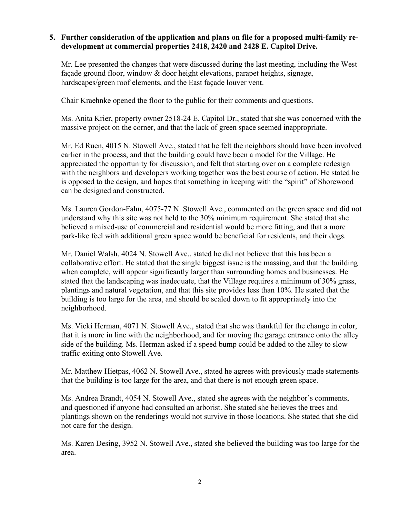## **5. Further consideration of the application and plans on file for a proposed multi-family redevelopment at commercial properties 2418, 2420 and 2428 E. Capitol Drive.**

Mr. Lee presented the changes that were discussed during the last meeting, including the West façade ground floor, window & door height elevations, parapet heights, signage, hardscapes/green roof elements, and the East façade louver vent.

Chair Kraehnke opened the floor to the public for their comments and questions.

Ms. Anita Krier, property owner 2518-24 E. Capitol Dr., stated that she was concerned with the massive project on the corner, and that the lack of green space seemed inappropriate.

Mr. Ed Ruen, 4015 N. Stowell Ave., stated that he felt the neighbors should have been involved earlier in the process, and that the building could have been a model for the Village. He appreciated the opportunity for discussion, and felt that starting over on a complete redesign with the neighbors and developers working together was the best course of action. He stated he is opposed to the design, and hopes that something in keeping with the "spirit" of Shorewood can be designed and constructed.

Ms. Lauren Gordon-Fahn, 4075-77 N. Stowell Ave., commented on the green space and did not understand why this site was not held to the 30% minimum requirement. She stated that she believed a mixed-use of commercial and residential would be more fitting, and that a more park-like feel with additional green space would be beneficial for residents, and their dogs.

Mr. Daniel Walsh, 4024 N. Stowell Ave., stated he did not believe that this has been a collaborative effort. He stated that the single biggest issue is the massing, and that the building when complete, will appear significantly larger than surrounding homes and businesses. He stated that the landscaping was inadequate, that the Village requires a minimum of 30% grass, plantings and natural vegetation, and that this site provides less than 10%. He stated that the building is too large for the area, and should be scaled down to fit appropriately into the neighborhood.

Ms. Vicki Herman, 4071 N. Stowell Ave., stated that she was thankful for the change in color, that it is more in line with the neighborhood, and for moving the garage entrance onto the alley side of the building. Ms. Herman asked if a speed bump could be added to the alley to slow traffic exiting onto Stowell Ave.

Mr. Matthew Hietpas, 4062 N. Stowell Ave., stated he agrees with previously made statements that the building is too large for the area, and that there is not enough green space.

Ms. Andrea Brandt, 4054 N. Stowell Ave., stated she agrees with the neighbor's comments, and questioned if anyone had consulted an arborist. She stated she believes the trees and plantings shown on the renderings would not survive in those locations. She stated that she did not care for the design.

Ms. Karen Desing, 3952 N. Stowell Ave., stated she believed the building was too large for the area.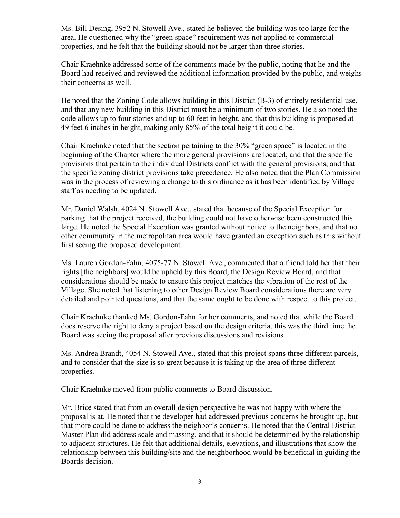Ms. Bill Desing, 3952 N. Stowell Ave., stated he believed the building was too large for the area. He questioned why the "green space" requirement was not applied to commercial properties, and he felt that the building should not be larger than three stories.

Chair Kraehnke addressed some of the comments made by the public, noting that he and the Board had received and reviewed the additional information provided by the public, and weighs their concerns as well.

He noted that the Zoning Code allows building in this District (B-3) of entirely residential use, and that any new building in this District must be a minimum of two stories. He also noted the code allows up to four stories and up to 60 feet in height, and that this building is proposed at 49 feet 6 inches in height, making only 85% of the total height it could be.

Chair Kraehnke noted that the section pertaining to the 30% "green space" is located in the beginning of the Chapter where the more general provisions are located, and that the specific provisions that pertain to the individual Districts conflict with the general provisions, and that the specific zoning district provisions take precedence. He also noted that the Plan Commission was in the process of reviewing a change to this ordinance as it has been identified by Village staff as needing to be updated.

Mr. Daniel Walsh, 4024 N. Stowell Ave., stated that because of the Special Exception for parking that the project received, the building could not have otherwise been constructed this large. He noted the Special Exception was granted without notice to the neighbors, and that no other community in the metropolitan area would have granted an exception such as this without first seeing the proposed development.

Ms. Lauren Gordon-Fahn, 4075-77 N. Stowell Ave., commented that a friend told her that their rights [the neighbors] would be upheld by this Board, the Design Review Board, and that considerations should be made to ensure this project matches the vibration of the rest of the Village. She noted that listening to other Design Review Board considerations there are very detailed and pointed questions, and that the same ought to be done with respect to this project.

Chair Kraehnke thanked Ms. Gordon-Fahn for her comments, and noted that while the Board does reserve the right to deny a project based on the design criteria, this was the third time the Board was seeing the proposal after previous discussions and revisions.

Ms. Andrea Brandt, 4054 N. Stowell Ave., stated that this project spans three different parcels, and to consider that the size is so great because it is taking up the area of three different properties.

Chair Kraehnke moved from public comments to Board discussion.

Mr. Brice stated that from an overall design perspective he was not happy with where the proposal is at. He noted that the developer had addressed previous concerns he brought up, but that more could be done to address the neighbor's concerns. He noted that the Central District Master Plan did address scale and massing, and that it should be determined by the relationship to adjacent structures. He felt that additional details, elevations, and illustrations that show the relationship between this building/site and the neighborhood would be beneficial in guiding the Boards decision.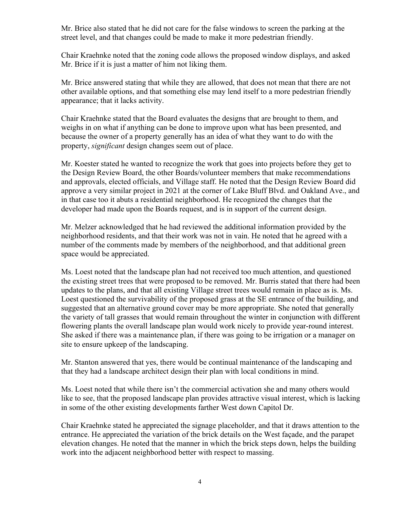Mr. Brice also stated that he did not care for the false windows to screen the parking at the street level, and that changes could be made to make it more pedestrian friendly.

Chair Kraehnke noted that the zoning code allows the proposed window displays, and asked Mr. Brice if it is just a matter of him not liking them.

Mr. Brice answered stating that while they are allowed, that does not mean that there are not other available options, and that something else may lend itself to a more pedestrian friendly appearance; that it lacks activity.

Chair Kraehnke stated that the Board evaluates the designs that are brought to them, and weighs in on what if anything can be done to improve upon what has been presented, and because the owner of a property generally has an idea of what they want to do with the property, *significant* design changes seem out of place.

Mr. Koester stated he wanted to recognize the work that goes into projects before they get to the Design Review Board, the other Boards/volunteer members that make recommendations and approvals, elected officials, and Village staff. He noted that the Design Review Board did approve a very similar project in 2021 at the corner of Lake Bluff Blvd. and Oakland Ave., and in that case too it abuts a residential neighborhood. He recognized the changes that the developer had made upon the Boards request, and is in support of the current design.

Mr. Melzer acknowledged that he had reviewed the additional information provided by the neighborhood residents, and that their work was not in vain. He noted that he agreed with a number of the comments made by members of the neighborhood, and that additional green space would be appreciated.

Ms. Loest noted that the landscape plan had not received too much attention, and questioned the existing street trees that were proposed to be removed. Mr. Burris stated that there had been updates to the plans, and that all existing Village street trees would remain in place as is. Ms. Loest questioned the survivability of the proposed grass at the SE entrance of the building, and suggested that an alternative ground cover may be more appropriate. She noted that generally the variety of tall grasses that would remain throughout the winter in conjunction with different flowering plants the overall landscape plan would work nicely to provide year-round interest. She asked if there was a maintenance plan, if there was going to be irrigation or a manager on site to ensure upkeep of the landscaping.

Mr. Stanton answered that yes, there would be continual maintenance of the landscaping and that they had a landscape architect design their plan with local conditions in mind.

Ms. Loest noted that while there isn't the commercial activation she and many others would like to see, that the proposed landscape plan provides attractive visual interest, which is lacking in some of the other existing developments farther West down Capitol Dr.

Chair Kraehnke stated he appreciated the signage placeholder, and that it draws attention to the entrance. He appreciated the variation of the brick details on the West façade, and the parapet elevation changes. He noted that the manner in which the brick steps down, helps the building work into the adjacent neighborhood better with respect to massing.